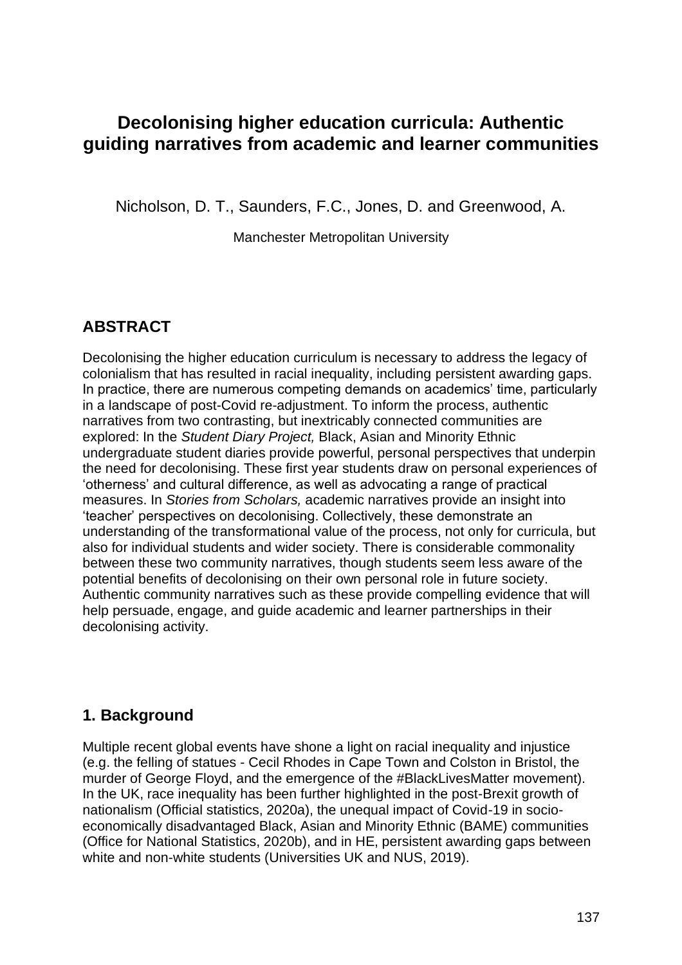# **Decolonising higher education curricula: Authentic guiding narratives from academic and learner communities**

Nicholson, D. T., Saunders, F.C., Jones, D. and Greenwood, A.

Manchester Metropolitan University

## **ABSTRACT**

Decolonising the higher education curriculum is necessary to address the legacy of colonialism that has resulted in racial inequality, including persistent awarding gaps. In practice, there are numerous competing demands on academics' time, particularly in a landscape of post-Covid re-adjustment. To inform the process, authentic narratives from two contrasting, but inextricably connected communities are explored: In the *Student Diary Project,* Black, Asian and Minority Ethnic undergraduate student diaries provide powerful, personal perspectives that underpin the need for decolonising. These first year students draw on personal experiences of 'otherness' and cultural difference, as well as advocating a range of practical measures. In *Stories from Scholars,* academic narratives provide an insight into 'teacher' perspectives on decolonising. Collectively, these demonstrate an understanding of the transformational value of the process, not only for curricula, but also for individual students and wider society. There is considerable commonality between these two community narratives, though students seem less aware of the potential benefits of decolonising on their own personal role in future society. Authentic community narratives such as these provide compelling evidence that will help persuade, engage, and guide academic and learner partnerships in their decolonising activity.

## **1. Background**

Multiple recent global events have shone a light on racial inequality and injustice (e.g. the felling of statues - Cecil Rhodes in Cape Town and Colston in Bristol, the murder of George Floyd, and the emergence of the #BlackLivesMatter movement). In the UK, race inequality has been further highlighted in the post-Brexit growth of nationalism (Official statistics, 2020a), the unequal impact of Covid-19 in socioeconomically disadvantaged Black, Asian and Minority Ethnic (BAME) communities (Office for National Statistics, 2020b), and in HE, persistent awarding gaps between white and non-white students (Universities UK and NUS, 2019).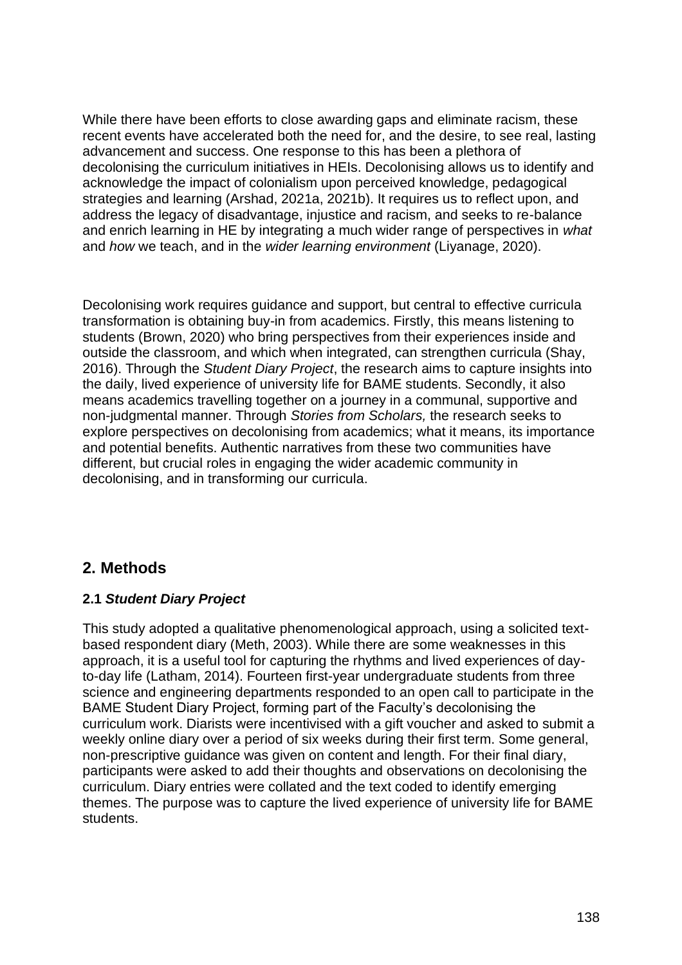While there have been efforts to close awarding gaps and eliminate racism, these recent events have accelerated both the need for, and the desire, to see real, lasting advancement and success. One response to this has been a plethora of decolonising the curriculum initiatives in HEIs. Decolonising allows us to identify and acknowledge the impact of colonialism upon perceived knowledge, pedagogical strategies and learning (Arshad, 2021a, 2021b). It requires us to reflect upon, and address the legacy of disadvantage, injustice and racism, and seeks to re-balance and enrich learning in HE by integrating a much wider range of perspectives in *what*  and *how* we teach, and in the *wider learning environment* (Liyanage, 2020).

Decolonising work requires guidance and support, but central to effective curricula transformation is obtaining buy-in from academics. Firstly, this means listening to students (Brown, 2020) who bring perspectives from their experiences inside and outside the classroom, and which when integrated, can strengthen curricula (Shay, 2016). Through the *Student Diary Project*, the research aims to capture insights into the daily, lived experience of university life for BAME students. Secondly, it also means academics travelling together on a journey in a communal, supportive and non-judgmental manner. Through *Stories from Scholars,* the research seeks to explore perspectives on decolonising from academics; what it means, its importance and potential benefits. Authentic narratives from these two communities have different, but crucial roles in engaging the wider academic community in decolonising, and in transforming our curricula.

## **2. Methods**

#### **2.1** *Student Diary Project*

This study adopted a qualitative phenomenological approach, using a solicited textbased respondent diary (Meth, 2003). While there are some weaknesses in this approach, it is a useful tool for capturing the rhythms and lived experiences of dayto-day life (Latham, 2014). Fourteen first-year undergraduate students from three science and engineering departments responded to an open call to participate in the BAME Student Diary Project, forming part of the Faculty's decolonising the curriculum work. Diarists were incentivised with a gift voucher and asked to submit a weekly online diary over a period of six weeks during their first term. Some general, non-prescriptive guidance was given on content and length. For their final diary, participants were asked to add their thoughts and observations on decolonising the curriculum. Diary entries were collated and the text coded to identify emerging themes. The purpose was to capture the lived experience of university life for BAME students.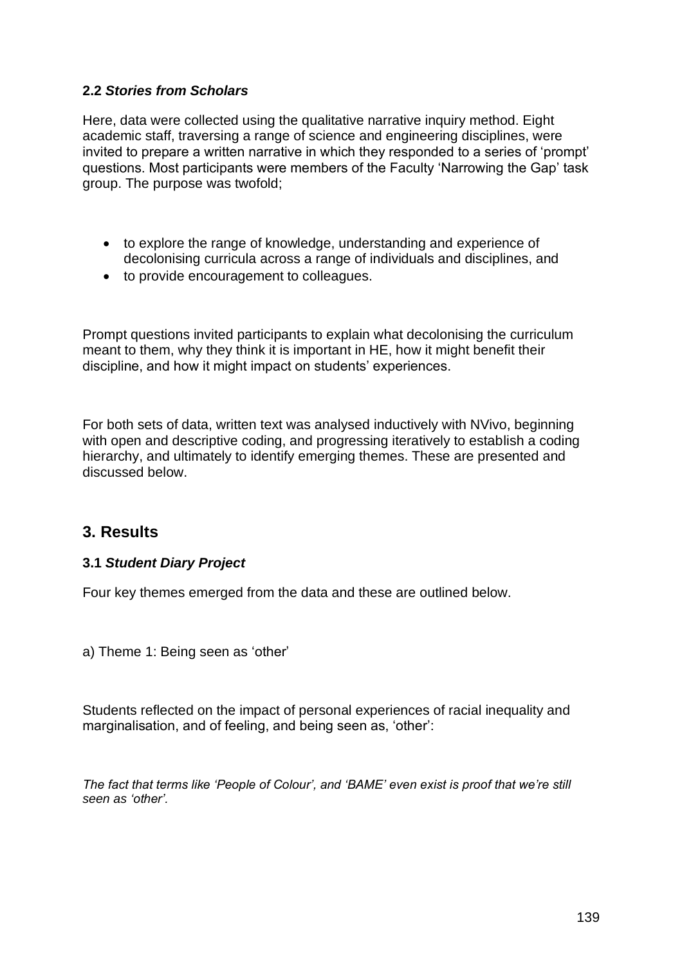#### **2.2** *Stories from Scholars*

Here, data were collected using the qualitative narrative inquiry method. Eight academic staff, traversing a range of science and engineering disciplines, were invited to prepare a written narrative in which they responded to a series of 'prompt' questions. Most participants were members of the Faculty 'Narrowing the Gap' task group. The purpose was twofold;

- to explore the range of knowledge, understanding and experience of decolonising curricula across a range of individuals and disciplines, and
- to provide encouragement to colleagues.

Prompt questions invited participants to explain what decolonising the curriculum meant to them, why they think it is important in HE, how it might benefit their discipline, and how it might impact on students' experiences.

For both sets of data, written text was analysed inductively with NVivo, beginning with open and descriptive coding, and progressing iteratively to establish a coding hierarchy, and ultimately to identify emerging themes. These are presented and discussed below.

### **3. Results**

#### **3.1** *Student Diary Project*

Four key themes emerged from the data and these are outlined below.

a) Theme 1: Being seen as 'other'

Students reflected on the impact of personal experiences of racial inequality and marginalisation, and of feeling, and being seen as, 'other':

*The fact that terms like 'People of Colour', and 'BAME' even exist is proof that we're still seen as 'other'.*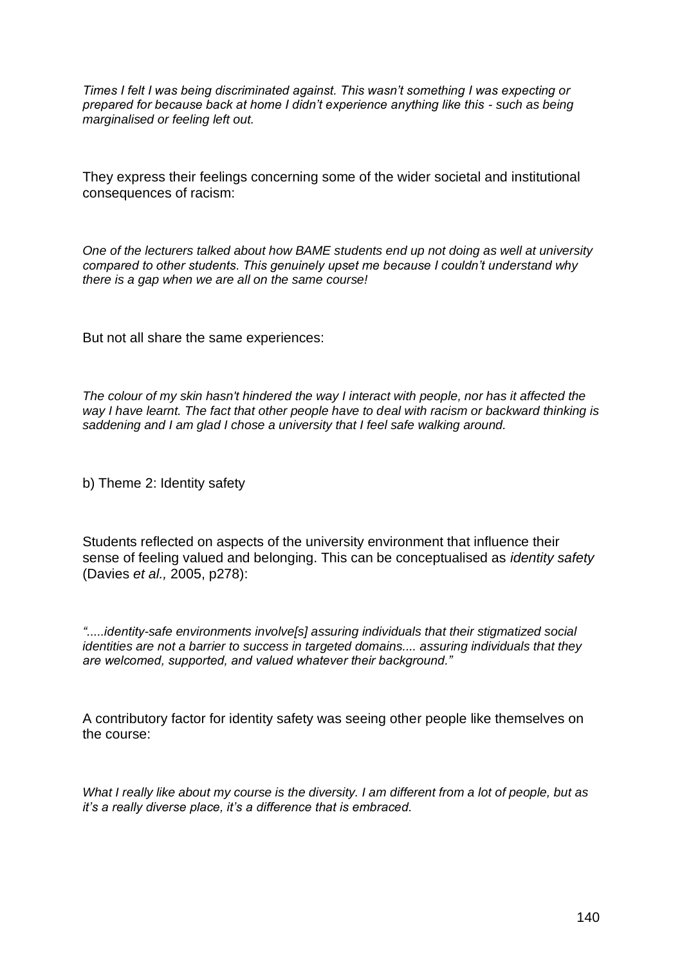*Times I felt I was being discriminated against. This wasn't something I was expecting or prepared for because back at home I didn't experience anything like this - such as being marginalised or feeling left out.*

They express their feelings concerning some of the wider societal and institutional consequences of racism:

*One of the lecturers talked about how BAME students end up not doing as well at university compared to other students. This genuinely upset me because I couldn't understand why there is a gap when we are all on the same course!*

But not all share the same experiences:

*The colour of my skin hasn't hindered the way I interact with people, nor has it affected the way I have learnt. The fact that other people have to deal with racism or backward thinking is saddening and I am glad I chose a university that I feel safe walking around.*

b) Theme 2: Identity safety

Students reflected on aspects of the university environment that influence their sense of feeling valued and belonging. This can be conceptualised as *identity safety*  (Davies *et al.,* 2005, p278):

*".....identity-safe environments involve[s] assuring individuals that their stigmatized social identities are not a barrier to success in targeted domains.... assuring individuals that they are welcomed, supported, and valued whatever their background."* 

A contributory factor for identity safety was seeing other people like themselves on the course:

*What I really like about my course is the diversity. I am different from a lot of people, but as it's a really diverse place, it's a difference that is embraced.*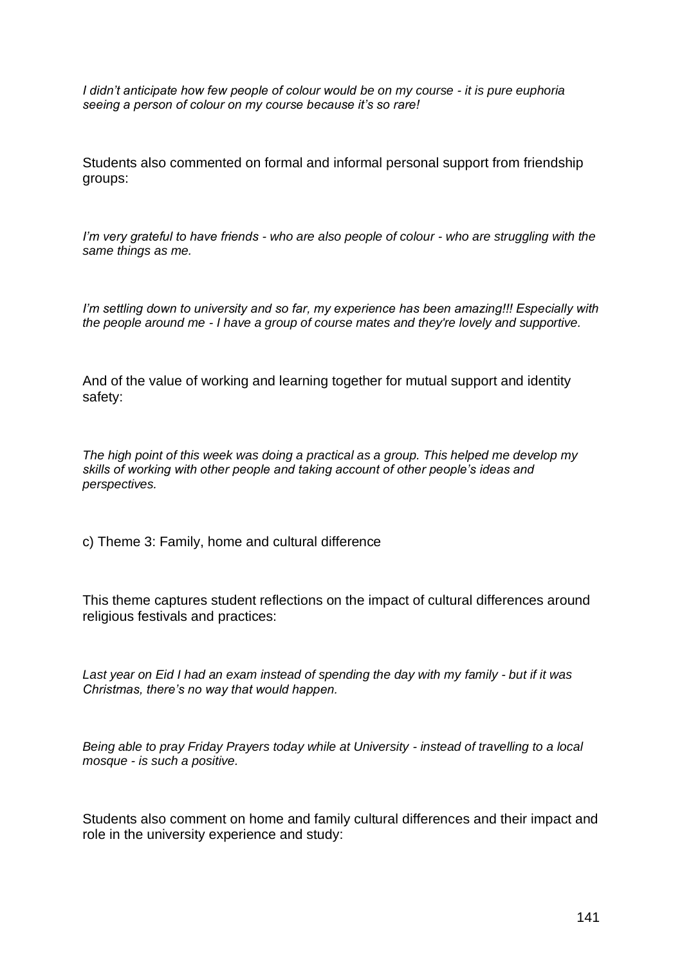*I didn't anticipate how few people of colour would be on my course - it is pure euphoria seeing a person of colour on my course because it's so rare!*

Students also commented on formal and informal personal support from friendship groups:

*I'm very grateful to have friends - who are also people of colour - who are struggling with the same things as me.*

*I'm settling down to university and so far, my experience has been amazing!!! Especially with the people around me - I have a group of course mates and they're lovely and supportive.*

And of the value of working and learning together for mutual support and identity safety:

*The high point of this week was doing a practical as a group. This helped me develop my skills of working with other people and taking account of other people's ideas and perspectives.*

c) Theme 3: Family, home and cultural difference

This theme captures student reflections on the impact of cultural differences around religious festivals and practices:

*Last year on Eid I had an exam instead of spending the day with my family - but if it was Christmas, there's no way that would happen.*

*Being able to pray Friday Prayers today while at University - instead of travelling to a local mosque - is such a positive.*

Students also comment on home and family cultural differences and their impact and role in the university experience and study: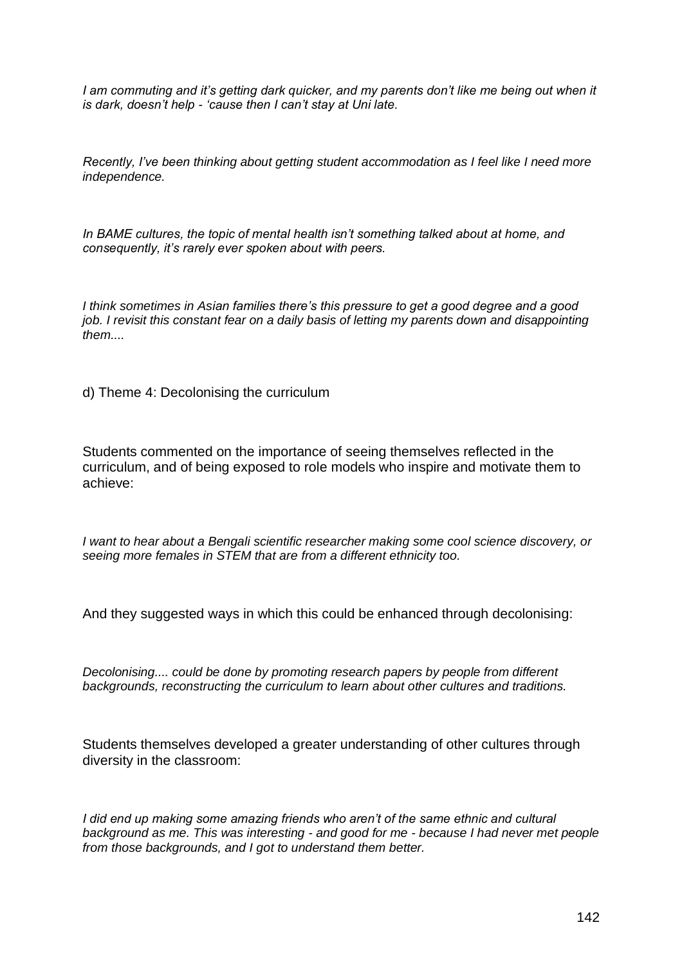*I* am commuting and it's getting dark quicker, and my parents don't like me being out when it *is dark, doesn't help - 'cause then I can't stay at Uni late.*

*Recently, I've been thinking about getting student accommodation as I feel like I need more independence.*

*In BAME cultures, the topic of mental health isn't something talked about at home, and consequently, it's rarely ever spoken about with peers.*

*I think sometimes in Asian families there's this pressure to get a good degree and a good job. I revisit this constant fear on a daily basis of letting my parents down and disappointing them....*

d) Theme 4: Decolonising the curriculum

Students commented on the importance of seeing themselves reflected in the curriculum, and of being exposed to role models who inspire and motivate them to achieve:

*I want to hear about a Bengali scientific researcher making some cool science discovery, or seeing more females in STEM that are from a different ethnicity too.*

And they suggested ways in which this could be enhanced through decolonising:

*Decolonising.... could be done by promoting research papers by people from different backgrounds, reconstructing the curriculum to learn about other cultures and traditions.*

Students themselves developed a greater understanding of other cultures through diversity in the classroom:

*I* did end up making some amazing friends who aren't of the same ethnic and cultural *background as me. This was interesting - and good for me - because I had never met people from those backgrounds, and I got to understand them better.*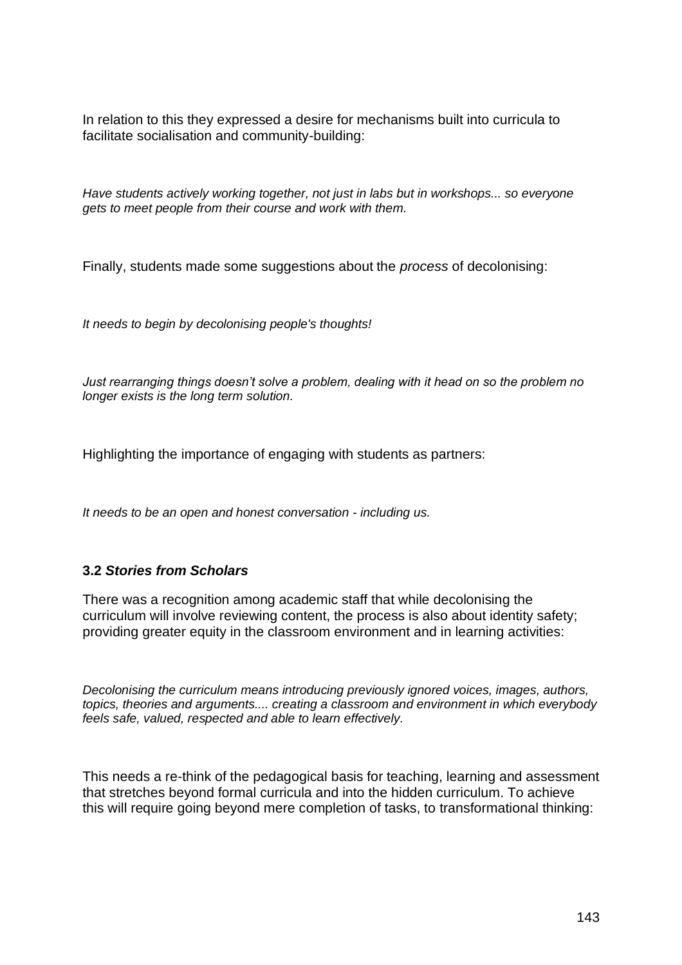In relation to this they expressed a desire for mechanisms built into curricula to facilitate socialisation and community-building:

*Have students actively working together, not just in labs but in workshops... so everyone gets to meet people from their course and work with them.*

Finally, students made some suggestions about the *process* of decolonising:

*It needs to begin by decolonising people's thoughts!* 

*Just rearranging things doesn't solve a problem, dealing with it head on so the problem no longer exists is the long term solution.*

Highlighting the importance of engaging with students as partners:

*It needs to be an open and honest conversation - including us.*

#### **3.2** *Stories from Scholars*

There was a recognition among academic staff that while decolonising the curriculum will involve reviewing content, the process is also about identity safety; providing greater equity in the classroom environment and in learning activities:

*Decolonising the curriculum means introducing previously ignored voices, images, authors, topics, theories and arguments.... creating a classroom and environment in which everybody feels safe, valued, respected and able to learn effectively.*

This needs a re-think of the pedagogical basis for teaching, learning and assessment that stretches beyond formal curricula and into the hidden curriculum. To achieve this will require going beyond mere completion of tasks, to transformational thinking: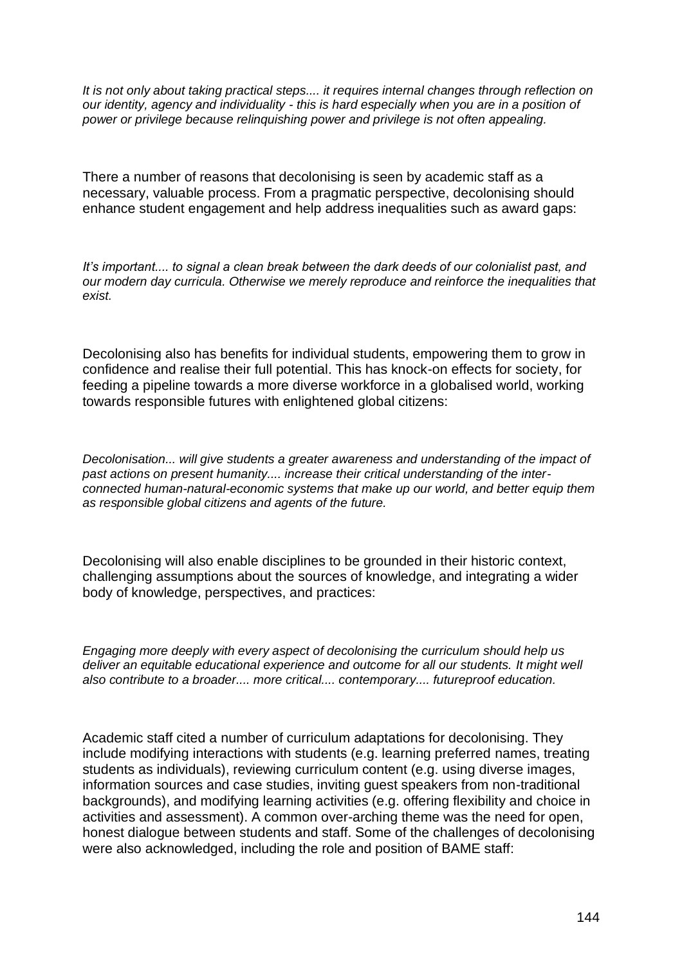*It is not only about taking practical steps.... it requires internal changes through reflection on our identity, agency and individuality - this is hard especially when you are in a position of power or privilege because relinquishing power and privilege is not often appealing.*

There a number of reasons that decolonising is seen by academic staff as a necessary, valuable process. From a pragmatic perspective, decolonising should enhance student engagement and help address inequalities such as award gaps:

*It's important.... to signal a clean break between the dark deeds of our colonialist past, and our modern day curricula. Otherwise we merely reproduce and reinforce the inequalities that exist.*

Decolonising also has benefits for individual students, empowering them to grow in confidence and realise their full potential. This has knock-on effects for society, for feeding a pipeline towards a more diverse workforce in a globalised world, working towards responsible futures with enlightened global citizens:

*Decolonisation... will give students a greater awareness and understanding of the impact of past actions on present humanity.... increase their critical understanding of the interconnected human-natural-economic systems that make up our world, and better equip them as responsible global citizens and agents of the future.*

Decolonising will also enable disciplines to be grounded in their historic context, challenging assumptions about the sources of knowledge, and integrating a wider body of knowledge, perspectives, and practices:

*Engaging more deeply with every aspect of decolonising the curriculum should help us deliver an equitable educational experience and outcome for all our students. It might well also contribute to a broader.... more critical.... contemporary.... futureproof education.*

Academic staff cited a number of curriculum adaptations for decolonising. They include modifying interactions with students (e.g. learning preferred names, treating students as individuals), reviewing curriculum content (e.g. using diverse images, information sources and case studies, inviting guest speakers from non-traditional backgrounds), and modifying learning activities (e.g. offering flexibility and choice in activities and assessment). A common over-arching theme was the need for open, honest dialogue between students and staff. Some of the challenges of decolonising were also acknowledged, including the role and position of BAME staff: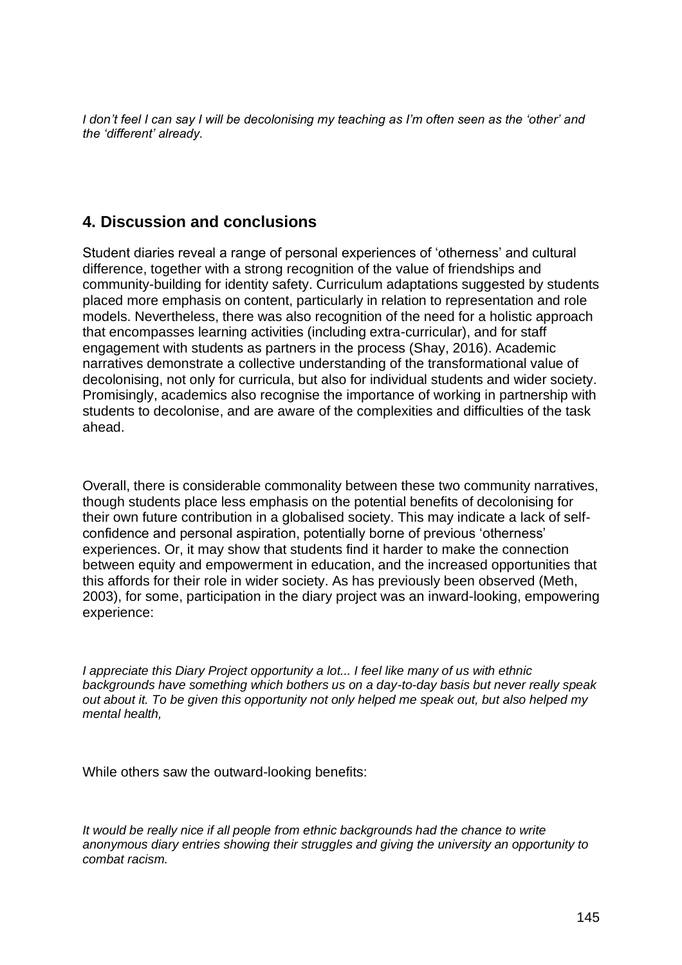*I don't feel I can say I will be decolonising my teaching as I'm often seen as the 'other' and the 'different' already.*

## **4. Discussion and conclusions**

Student diaries reveal a range of personal experiences of 'otherness' and cultural difference, together with a strong recognition of the value of friendships and community-building for identity safety. Curriculum adaptations suggested by students placed more emphasis on content, particularly in relation to representation and role models. Nevertheless, there was also recognition of the need for a holistic approach that encompasses learning activities (including extra-curricular), and for staff engagement with students as partners in the process (Shay, 2016). Academic narratives demonstrate a collective understanding of the transformational value of decolonising, not only for curricula, but also for individual students and wider society. Promisingly, academics also recognise the importance of working in partnership with students to decolonise, and are aware of the complexities and difficulties of the task ahead.

Overall, there is considerable commonality between these two community narratives, though students place less emphasis on the potential benefits of decolonising for their own future contribution in a globalised society. This may indicate a lack of selfconfidence and personal aspiration, potentially borne of previous 'otherness' experiences. Or, it may show that students find it harder to make the connection between equity and empowerment in education, and the increased opportunities that this affords for their role in wider society. As has previously been observed (Meth, 2003), for some, participation in the diary project was an inward-looking, empowering experience:

*I appreciate this Diary Project opportunity a lot... I feel like many of us with ethnic backgrounds have something which bothers us on a day-to-day basis but never really speak out about it. To be given this opportunity not only helped me speak out, but also helped my mental health,*

While others saw the outward-looking benefits:

*It would be really nice if all people from ethnic backgrounds had the chance to write anonymous diary entries showing their struggles and giving the university an opportunity to combat racism.*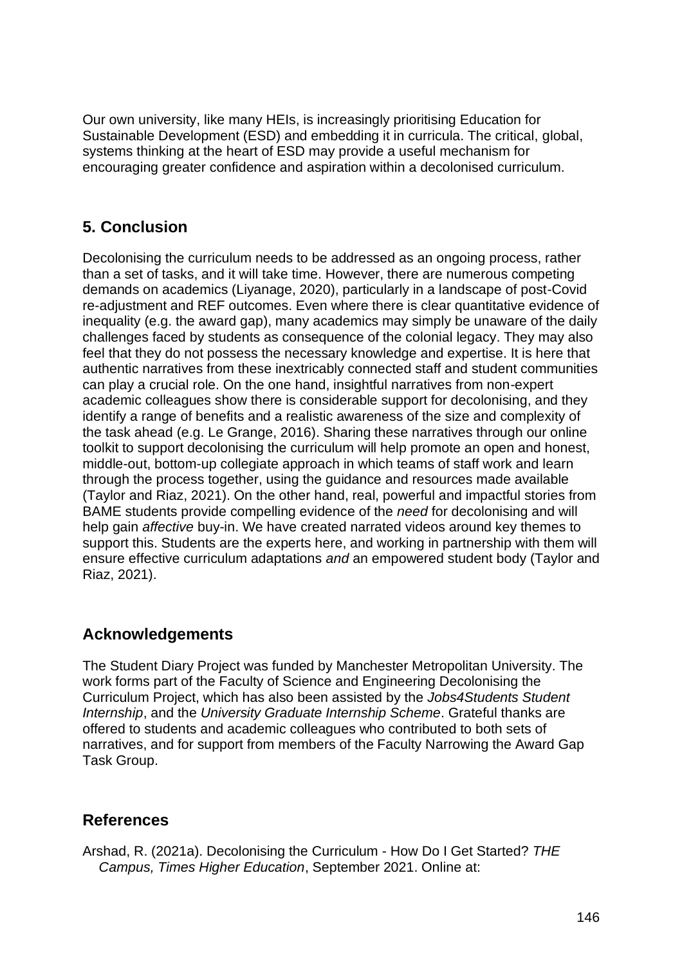Our own university, like many HEIs, is increasingly prioritising Education for Sustainable Development (ESD) and embedding it in curricula. The critical, global, systems thinking at the heart of ESD may provide a useful mechanism for encouraging greater confidence and aspiration within a decolonised curriculum.

## **5. Conclusion**

Decolonising the curriculum needs to be addressed as an ongoing process, rather than a set of tasks, and it will take time. However, there are numerous competing demands on academics (Liyanage, 2020), particularly in a landscape of post-Covid re-adjustment and REF outcomes. Even where there is clear quantitative evidence of inequality (e.g. the award gap), many academics may simply be unaware of the daily challenges faced by students as consequence of the colonial legacy. They may also feel that they do not possess the necessary knowledge and expertise. It is here that authentic narratives from these inextricably connected staff and student communities can play a crucial role. On the one hand, insightful narratives from non-expert academic colleagues show there is considerable support for decolonising, and they identify a range of benefits and a realistic awareness of the size and complexity of the task ahead (e.g. Le Grange, 2016). Sharing these narratives through our online toolkit to support decolonising the curriculum will help promote an open and honest, middle-out, bottom-up collegiate approach in which teams of staff work and learn through the process together, using the guidance and resources made available (Taylor and Riaz, 2021). On the other hand, real, powerful and impactful stories from BAME students provide compelling evidence of the *need* for decolonising and will help gain *affective* buy-in. We have created narrated videos around key themes to support this. Students are the experts here, and working in partnership with them will ensure effective curriculum adaptations *and* an empowered student body (Taylor and Riaz, 2021).

## **Acknowledgements**

The Student Diary Project was funded by Manchester Metropolitan University. The work forms part of the Faculty of Science and Engineering Decolonising the Curriculum Project, which has also been assisted by the *Jobs4Students Student Internship*, and the *University Graduate Internship Scheme*. Grateful thanks are offered to students and academic colleagues who contributed to both sets of narratives, and for support from members of the Faculty Narrowing the Award Gap Task Group.

## **References**

Arshad, R. (2021a). Decolonising the Curriculum - How Do I Get Started? *THE Campus, Times Higher Education*, September 2021. Online at: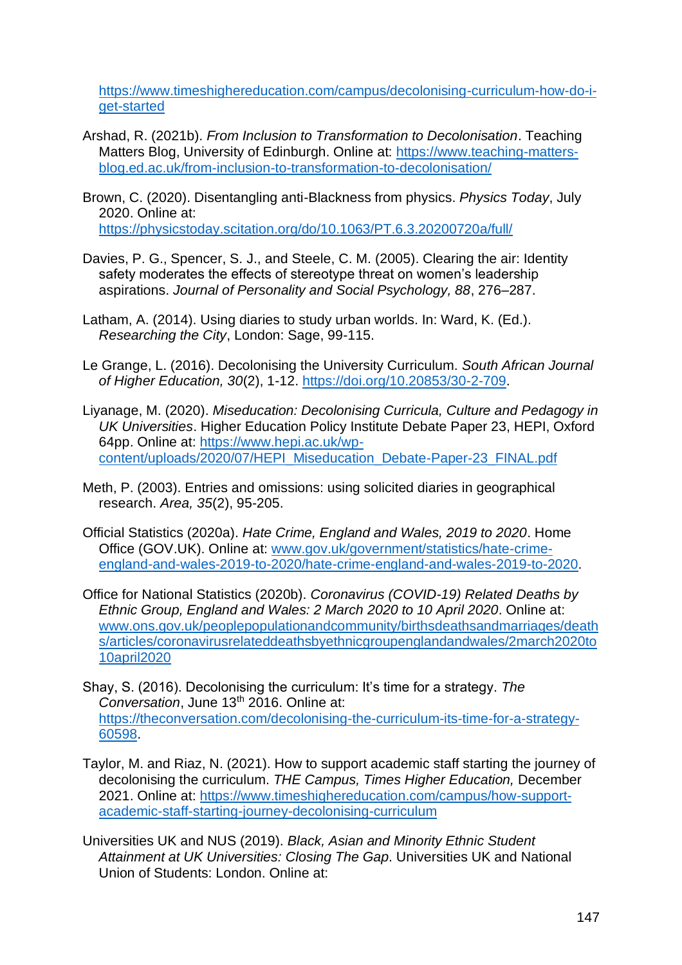[https://www.timeshighereducation.com/campus/decolonising-curriculum-how-do-i](https://www.timeshighereducation.com/campus/decolonising-curriculum-how-do-i-get-started)[get-started](https://www.timeshighereducation.com/campus/decolonising-curriculum-how-do-i-get-started) 

- Arshad, R. (2021b). *From Inclusion to Transformation to Decolonisation*. Teaching Matters Blog, University of Edinburgh. Online at: [https://www.teaching-matters](https://www.teaching-matters-blog.ed.ac.uk/from-inclusion-to-transformation-to-decolonisation/)[blog.ed.ac.uk/from-inclusion-to-transformation-to-decolonisation/](https://www.teaching-matters-blog.ed.ac.uk/from-inclusion-to-transformation-to-decolonisation/)
- Brown, C. (2020). Disentangling anti-Blackness from physics. *Physics Today*, July 2020. Online at: <https://physicstoday.scitation.org/do/10.1063/PT.6.3.20200720a/full/>
- Davies, P. G., Spencer, S. J., and Steele, C. M. (2005). Clearing the air: Identity safety moderates the effects of stereotype threat on women's leadership aspirations. *Journal of Personality and Social Psychology, 88*, 276–287.
- Latham, A. (2014). Using diaries to study urban worlds. In: Ward, K. (Ed.). *Researching the City*, London: Sage, 99-115.
- Le Grange, L. (2016). Decolonising the University Curriculum. *South African Journal of Higher Education, 30*(2), 1-12. [https://doi.org/10.20853/30-2-709.](https://doi.org/10.20853/30-2-709)
- Liyanage, M. (2020). *Miseducation: Decolonising Curricula, Culture and Pedagogy in UK Universities*. Higher Education Policy Institute Debate Paper 23, HEPI, Oxford 64pp. Online at: [https://www.hepi.ac.uk/wp](https://www.hepi.ac.uk/wp-content/uploads/2020/07/HEPI_Miseducation_Debate-Paper-23_FINAL.pdf)[content/uploads/2020/07/HEPI\\_Miseducation\\_Debate-Paper-23\\_FINAL.pdf](https://www.hepi.ac.uk/wp-content/uploads/2020/07/HEPI_Miseducation_Debate-Paper-23_FINAL.pdf)
- Meth, P. (2003). Entries and omissions: using solicited diaries in geographical research. *Area, 35*(2), 95-205.
- Official Statistics (2020a). *Hate Crime, England and Wales, 2019 to 2020*. Home Office (GOV.UK). Online at: [www.gov.uk/government/statistics/hate-crime](http://www.gov.uk/government/statistics/hate-crime-england-and-wales-2019-to-2020/hate-crime-england-and-wales-2019-to-2020)[england-and-wales-2019-to-2020/hate-crime-england-and-wales-2019-to-2020.](http://www.gov.uk/government/statistics/hate-crime-england-and-wales-2019-to-2020/hate-crime-england-and-wales-2019-to-2020)
- Office for National Statistics (2020b). *Coronavirus (COVID-19) Related Deaths by Ethnic Group, England and Wales: 2 March 2020 to 10 April 2020*. Online at: [www.ons.gov.uk/peoplepopulationandcommunity/birthsdeathsandmarriages/death](http://www.ons.gov.uk/peoplepopulationandcommunity/birthsdeathsandmarriages/deaths/articles/coronavirusrelateddeathsbyethnicgroupenglandandwales/2march2020to10april2020) [s/articles/coronavirusrelateddeathsbyethnicgroupenglandandwales/2march2020to](http://www.ons.gov.uk/peoplepopulationandcommunity/birthsdeathsandmarriages/deaths/articles/coronavirusrelateddeathsbyethnicgroupenglandandwales/2march2020to10april2020) [10april2020](http://www.ons.gov.uk/peoplepopulationandcommunity/birthsdeathsandmarriages/deaths/articles/coronavirusrelateddeathsbyethnicgroupenglandandwales/2march2020to10april2020)
- Shay, S. (2016). Decolonising the curriculum: It's time for a strategy. *The Conversation*, June 13th 2016. Online at: [https://theconversation.com/decolonising-the-curriculum-its-time-for-a-strategy-](https://theconversation.com/decolonising-the-curriculum-its-time-for-a-strategy-60598)[60598.](https://theconversation.com/decolonising-the-curriculum-its-time-for-a-strategy-60598)
- Taylor, M. and Riaz, N. (2021). How to support academic staff starting the journey of decolonising the curriculum. *THE Campus, Times Higher Education,* December 2021. Online at: [https://www.timeshighereducation.com/campus/how-support](https://www.timeshighereducation.com/campus/how-support-academic-staff-starting-journey-decolonising-curriculum)[academic-staff-starting-journey-decolonising-curriculum](https://www.timeshighereducation.com/campus/how-support-academic-staff-starting-journey-decolonising-curriculum)
- Universities UK and NUS (2019). *Black, Asian and Minority Ethnic Student Attainment at UK Universities: Closing The Gap*. Universities UK and National Union of Students: London. Online at: